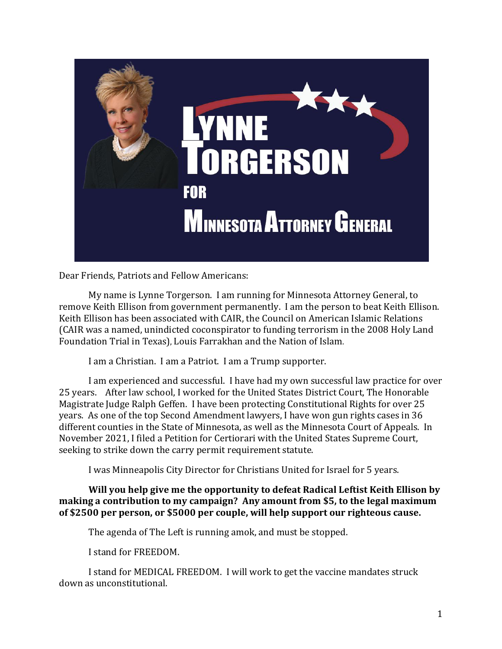

Dear Friends, Patriots and Fellow Americans:

 My name is Lynne Torgerson. I am running for Minnesota Attorney General, to remove Keith Ellison from government permanently. I am the person to beat Keith Ellison. Keith Ellison has been associated with CAIR, the Council on American Islamic Relations (CAIR was a named, unindicted coconspirator to funding terrorism in the 2008 Holy Land Foundation Trial in Texas), Louis Farrakhan and the Nation of Islam.

I am a Christian. I am a Patriot. I am a Trump supporter.

I am experienced and successful. I have had my own successful law practice for over 25 years. After law school, I worked for the United States District Court, The Honorable Magistrate Judge Ralph Geffen. I have been protecting Constitutional Rights for over 25 years. As one of the top Second Amendment lawyers, I have won gun rights cases in 36 different counties in the State of Minnesota, as well as the Minnesota Court of Appeals. In November 2021, I filed a Petition for Certiorari with the United States Supreme Court, seeking to strike down the carry permit requirement statute.

I was Minneapolis City Director for Christians United for Israel for 5 years.

**Will you help give me the opportunity to defeat Radical Leftist Keith Ellison by making a contribution to my campaign? Any amount from \$5, to the legal maximum of \$2500 per person, or \$5000 per couple, will help support our righteous cause.** 

The agenda of The Left is running amok, and must be stopped.

I stand for FREEDOM.

I stand for MEDICAL FREEDOM. I will work to get the vaccine mandates struck down as unconstitutional.